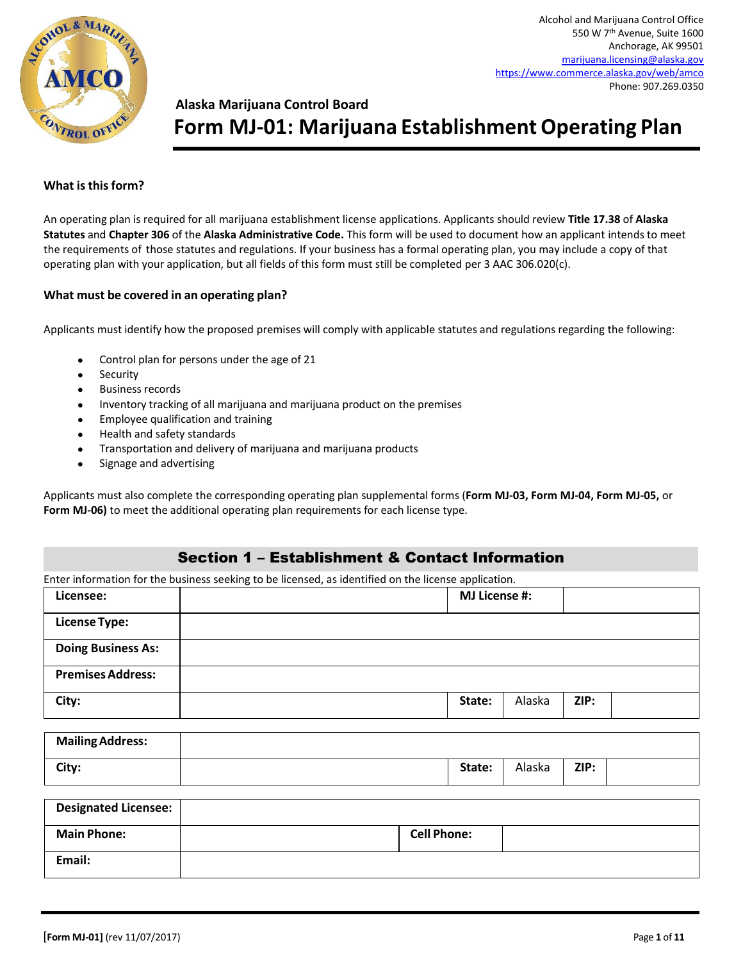

# **Alaska Marijuana Control Board**

# **Form MJ-01: Marijuana Establishment Operating Plan**

#### **What is this form?**

An operating plan is required for all marijuana establishment license applications. Applicants should review **Title 17.38** of **Alaska Statutes** and **Chapter 306** of the **Alaska Administrative Code.** This form will be used to document how an applicant intends to meet the requirements of those statutes and regulations. If your business has a formal operating plan, you may include a copy of that operating plan with your application, but all fields of this form must still be completed per 3 AAC 306.020(c).

#### **What must be covered in an operating plan?**

Applicants must identify how the proposed premises will comply with applicable statutes and regulations regarding the following:

- Control plan for persons under the age of 21
- Security
- Business records
- Inventory tracking of all marijuana and marijuana product on the premises
- Employee qualification and training
- Health and safety standards
- Transportation and delivery of marijuana and marijuana products
- Signage and advertising

Applicants must also complete the corresponding operating plan supplemental forms (**Form MJ-03, Form MJ-04, Form MJ-05,** or **Form MJ-06)** to meet the additional operating plan requirements for each license type.

#### Section 1 – Establishment & Contact Information

Enter information for the business seeking to be licensed, as identified on the license application.

| Licensee:                 | <b>MJ License #:</b> |        |      |  |
|---------------------------|----------------------|--------|------|--|
| <b>License Type:</b>      |                      |        |      |  |
| <b>Doing Business As:</b> |                      |        |      |  |
| <b>Premises Address:</b>  |                      |        |      |  |
| City:                     | State:               | Alaska | ZIP: |  |

| <b>Mailing Address:</b> |        |        |      |  |
|-------------------------|--------|--------|------|--|
| City:                   | State: | Alaska | ZIP: |  |

| Designated Licensee: |                    |
|----------------------|--------------------|
| <b>Main Phone:</b>   | <b>Cell Phone:</b> |
| Email:               |                    |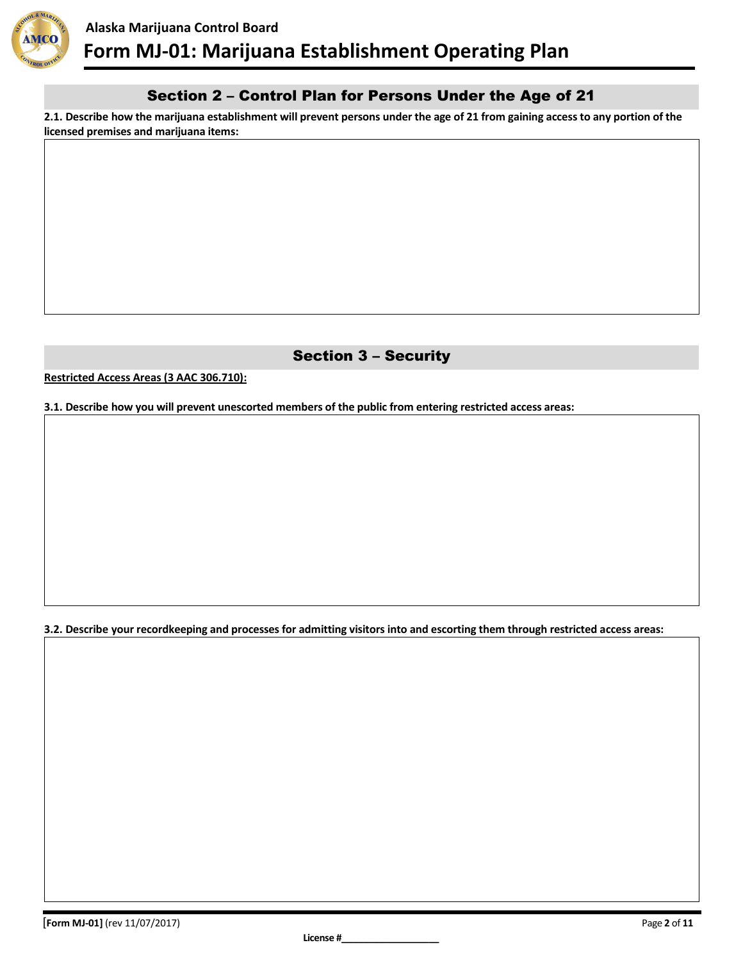

## Section 2 – Control Plan for Persons Under the Age of 21

**2.1. Describe how the marijuana establishment will prevent persons under the age of 21 from gaining access to any portion of the licensed premises and marijuana items:**

# Section 3 – Security

**Restricted Access Areas (3 AAC 306.710):**

**3.1. Describe how you will prevent unescorted members of the public from entering restricted access areas:**

**3.2. Describe your recordkeeping and processes for admitting visitors into and escorting them through restricted access areas:**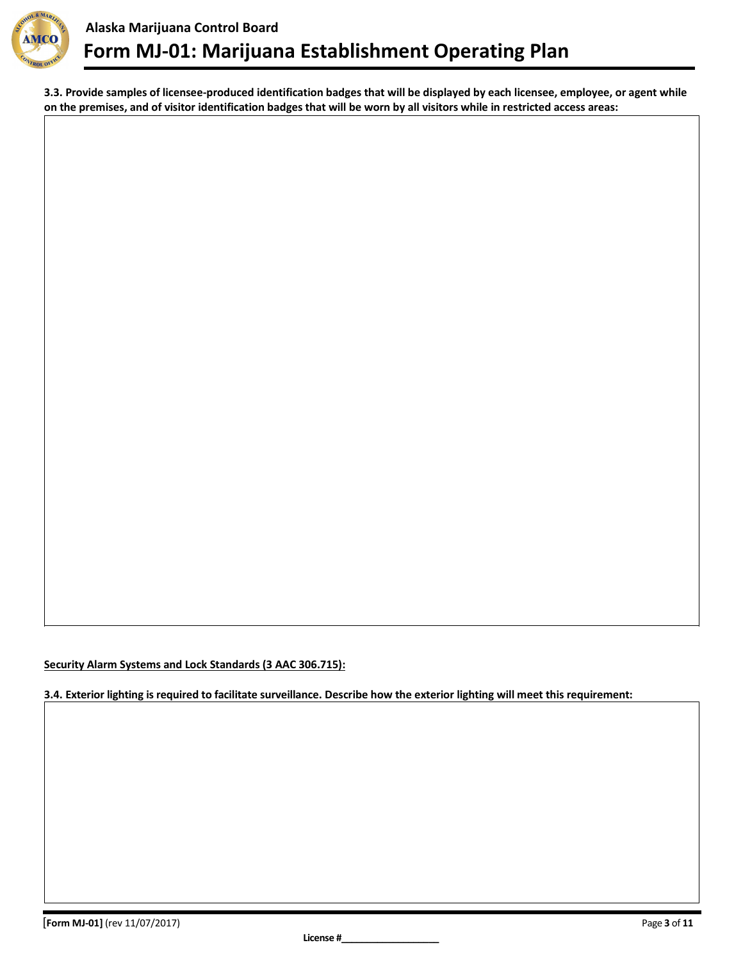

**3.3. Provide samples of licensee-produced identification badges that will be displayed by each licensee, employee, or agent while on the premises, and of visitor identification badges that will be worn by all visitors while in restricted access areas:**

**Security Alarm Systems and Lock Standards (3 AAC 306.715):**

**3.4. Exterior lighting is required to facilitate surveillance. Describe how the exterior lighting will meet this requirement:**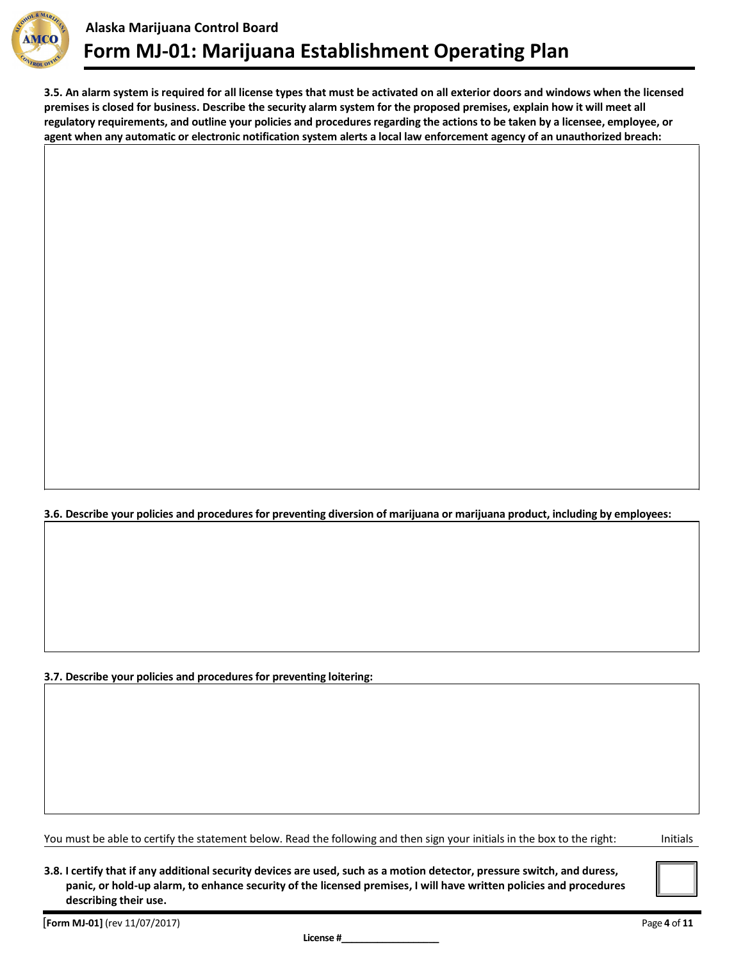

**3.5. An alarm system is required for all license types that must be activated on all exterior doors and windows when the licensed premises is closed for business. Describe the security alarm system for the proposed premises, explain how it will meet all regulatory requirements, and outline your policies and procedures regarding the actions to be taken by a licensee, employee, or agent when any automatic or electronic notification system alerts a local law enforcement agency of an unauthorized breach:**

**3.6. Describe your policies and procedures for preventing diversion of marijuana or marijuana product, including by employees:**

**3.7. Describe your policies and procedures for preventing loitering:**

You must be able to certify the statement below. Read the following and then sign your initials in the box to the right: Initials

**3.8. I certify that if any additional security devices are used, such as a motion detector, pressure switch, and duress, panic, or hold-up alarm, to enhance security of the licensed premises, I will have written policies and procedures describing their use.**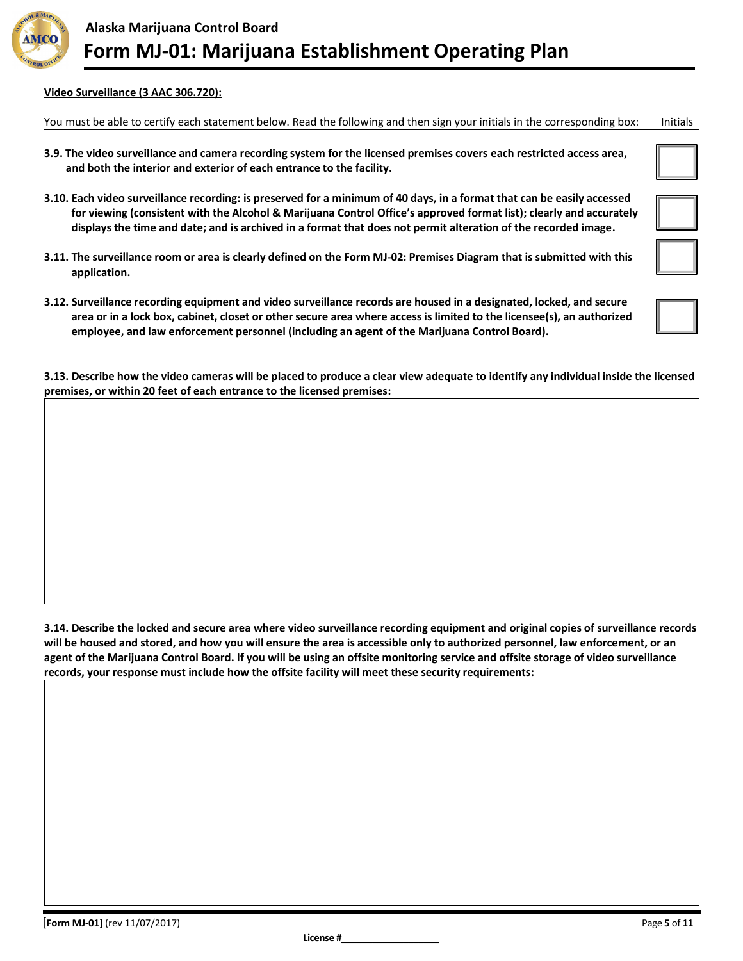

#### **Video Surveillance (3 AAC 306.720):**

You must be able to certify each statement below. Read the following and then sign your initials in the corresponding box: Initials

- **3.9. The video surveillance and camera recording system for the licensed premises covers each restricted access area, and both the interior and exterior of each entrance to the facility.**
- **3.10. Each video surveillance recording: is preserved for a minimum of 40 days, in a format that can be easily accessed for viewing (consistent with the Alcohol & Marijuana Control Office's approved format list); clearly and accurately displays the time and date; and is archived in a format that does not permit alteration of the recorded image.**
- **3.11. The surveillance room or area is clearly defined on the Form MJ-02: Premises Diagram that is submitted with this application.**
- **3.12. Surveillance recording equipment and video surveillance records are housed in a designated, locked, and secure area or in a lock box, cabinet, closet or other secure area where access is limited to the licensee(s), an authorized employee, and law enforcement personnel (including an agent of the Marijuana Control Board).**

**3.13. Describe how the video cameras will be placed to produce a clear view adequate to identify any individual inside the licensed premises, or within 20 feet of each entrance to the licensed premises:**

**3.14. Describe the locked and secure area where video surveillance recording equipment and original copies of surveillance records will be housed and stored, and how you will ensure the area is accessible only to authorized personnel, law enforcement, or an agent of the Marijuana Control Board. If you will be using an offsite monitoring service and offsite storage of video surveillance records, your response must include how the offsite facility will meet these security requirements:**

| [Form MJ-01] (rev 11/07/2017) | Page 5 of 11 |
|-------------------------------|--------------|
|-------------------------------|--------------|

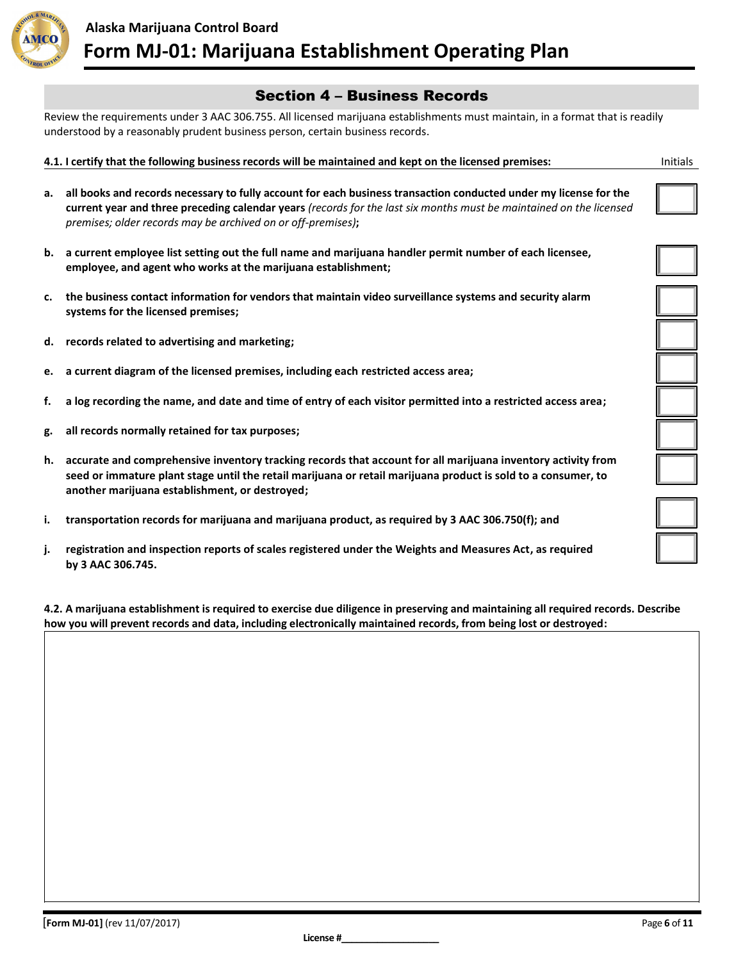

#### Section 4 – Business Records

Review the requirements under 3 AAC 306.755. All licensed marijuana establishments must maintain, in a format that is readily understood by a reasonably prudent business person, certain business records.

#### **4.1. I certify that the following business records will be maintained and kept on the licensed premises:**

- **a. all books and records necessary to fully account for each business transaction conducted under my license for the current year and three preceding calendar years** *(records for the last six months must be maintained on the licensed premises; older records may be archived on or off-premises)***;**
- **b. a current employee list setting out the full name and marijuana handler permit number of each licensee, employee, and agent who works at the marijuana establishment;**
- **c. the business contact information for vendors that maintain video surveillance systems and security alarm systems for the licensed premises;**
- **d. records related to advertising and marketing;**
- **e. a current diagram of the licensed premises, including each restricted access area;**
- **f. a log recording the name, and date and time of entry of each visitor permitted into a restricted access area;**
- **g. all records normally retained for tax purposes;**
- **h. accurate and comprehensive inventory tracking records that account for all marijuana inventory activity from seed or immature plant stage until the retail marijuana or retail marijuana product is sold to a consumer, to another marijuana establishment, or destroyed;**
- **i. transportation records for marijuana and marijuana product, as required by 3 AAC 306.750(f); and**
- **j. registration and inspection reports of scales registered under the Weights and Measures Act, as required by 3 AAC 306.745.**

**4.2. A marijuana establishment is required to exercise due diligence in preserving and maintaining all required records. Describe how you will prevent records and data, including electronically maintained records, from being lost or destroyed:**

| <b>Initials</b> |  |  |
|-----------------|--|--|
|                 |  |  |
|                 |  |  |

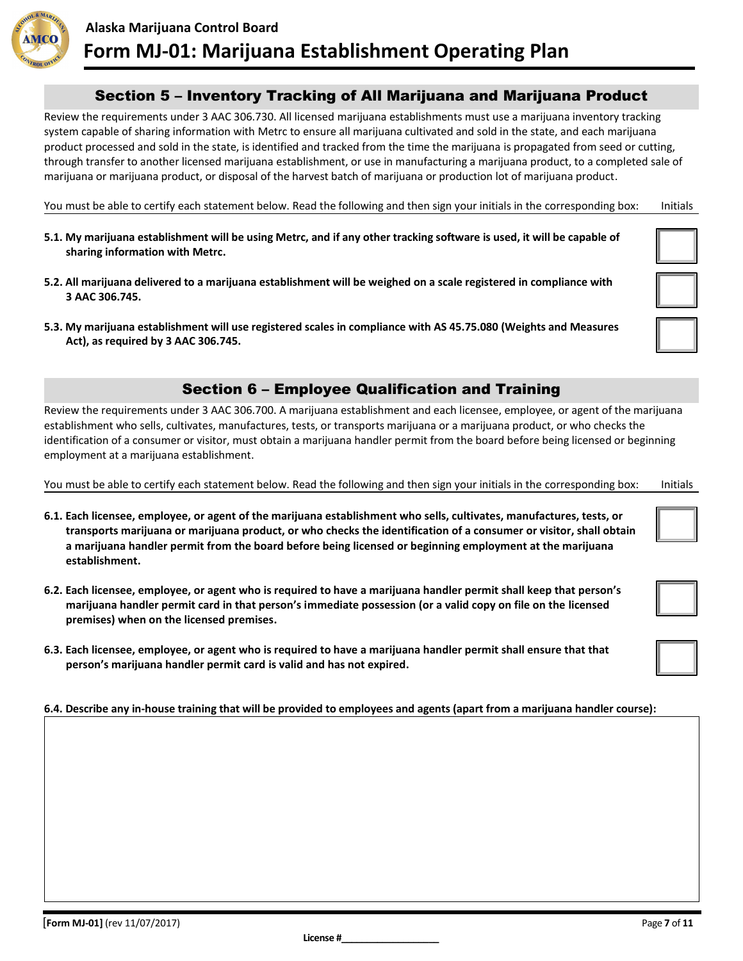

### Section 5 – Inventory Tracking of All Marijuana and Marijuana Product

Review the requirements under 3 AAC 306.730. All licensed marijuana establishments must use a marijuana inventory tracking system capable of sharing information with Metrc to ensure all marijuana cultivated and sold in the state, and each marijuana product processed and sold in the state, is identified and tracked from the time the marijuana is propagated from seed or cutting, through transfer to another licensed marijuana establishment, or use in manufacturing a marijuana product, to a completed sale of marijuana or marijuana product, or disposal of the harvest batch of marijuana or production lot of marijuana product.

You must be able to certify each statement below. Read the following and then sign your initials in the corresponding box: Initials

- **5.1. My marijuana establishment will be using Metrc, and if any other tracking software is used, it will be capable of sharing information with Metrc.**
- **5.2. All marijuana delivered to a marijuana establishment will be weighed on a scale registered in compliance with 3 AAC 306.745.**
- **5.3. My marijuana establishment will use registered scales in compliance with AS 45.75.080 (Weights and Measures Act), as required by 3 AAC 306.745.**

# Section 6 – Employee Qualification and Training

Review the requirements under 3 AAC 306.700. A marijuana establishment and each licensee, employee, or agent of the marijuana establishment who sells, cultivates, manufactures, tests, or transports marijuana or a marijuana product, or who checks the identification of a consumer or visitor, must obtain a marijuana handler permit from the board before being licensed or beginning employment at a marijuana establishment.

You must be able to certify each statement below. Read the following and then sign your initials in the corresponding box: Initials

- **6.1. Each licensee, employee, or agent of the marijuana establishment who sells, cultivates, manufactures, tests, or transports marijuana or marijuana product, or who checks the identification of a consumer or visitor, shall obtain a marijuana handler permit from the board before being licensed or beginning employment at the marijuana establishment.**
- **6.2. Each licensee, employee, or agent who is required to have a marijuana handler permit shall keep that person's marijuana handler permit card in that person's immediate possession (or a valid copy on file on the licensed premises) when on the licensed premises.**
- **6.3. Each licensee, employee, or agent who is required to have a marijuana handler permit shall ensure that that person's marijuana handler permit card is valid and has not expired.**

#### **6.4. Describe any in-house training that will be provided to employees and agents (apart from a marijuana handler course):**

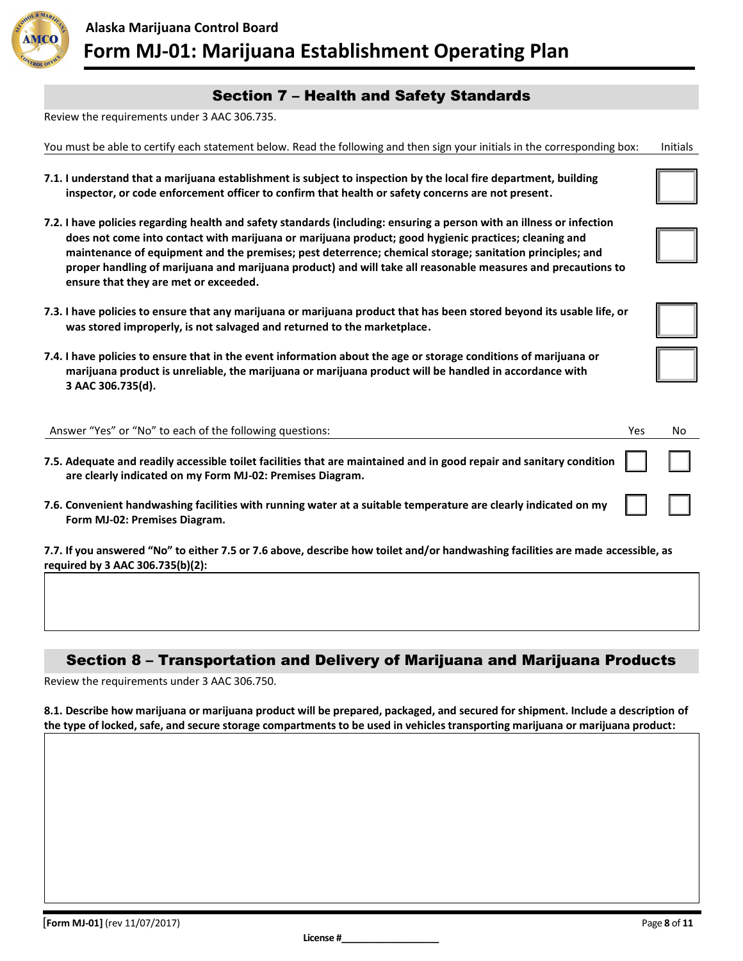

## Section 7 – Health and Safety Standards

Review the requirements under 3 AAC 306.735.

|  | You must be able to certify each statement below. Read the following and then sign your initials in the corresponding box: lnitials |  |
|--|-------------------------------------------------------------------------------------------------------------------------------------|--|
|--|-------------------------------------------------------------------------------------------------------------------------------------|--|

- **7.1. I understand that a marijuana establishment is subject to inspection by the local fire department, building inspector, or code enforcement officer to confirm that health or safety concerns are not present.**
- **7.2. I have policies regarding health and safety standards (including: ensuring a person with an illness or infection does not come into contact with marijuana or marijuana product; good hygienic practices; cleaning and maintenance of equipment and the premises; pest deterrence; chemical storage; sanitation principles; and proper handling of marijuana and marijuana product) and will take all reasonable measures and precautions to ensure that they are met or exceeded.**
- **7.3. I have policies to ensure that any marijuana or marijuana product that has been stored beyond its usable life, or was stored improperly, is not salvaged and returned to the marketplace.**
- **7.4. I have policies to ensure that in the event information about the age or storage conditions of marijuana or marijuana product is unreliable, the marijuana or marijuana product will be handled in accordance with 3 AAC 306.735(d).**

| Answer "Yes" or "No" to each of the following questions:                                                                                                                                      | Yes | No |
|-----------------------------------------------------------------------------------------------------------------------------------------------------------------------------------------------|-----|----|
| 7.5. Adequate and readily accessible toilet facilities that are maintained and in good repair and sanitary condition $\ \cdot\ $<br>are clearly indicated on my Form MJ-02: Premises Diagram. |     |    |
| 7.6. Convenient handwashing facilities with running water at a suitable temperature are clearly indicated on my $   \cdot   $<br>Form MJ-02: Premises Diagram.                                |     |    |

**7.7. If you answered "No" to either 7.5 or 7.6 above, describe how toilet and/or handwashing facilities are made accessible, as required by 3 AAC 306.735(b)(2):**

### Section 8 – Transportation and Delivery of Marijuana and Marijuana Products

Review the requirements under 3 AAC 306.750.

**8.1. Describe how marijuana or marijuana product will be prepared, packaged, and secured for shipment. Include a description of the type of locked, safe, and secure storage compartments to be used in vehicles transporting marijuana or marijuana product:**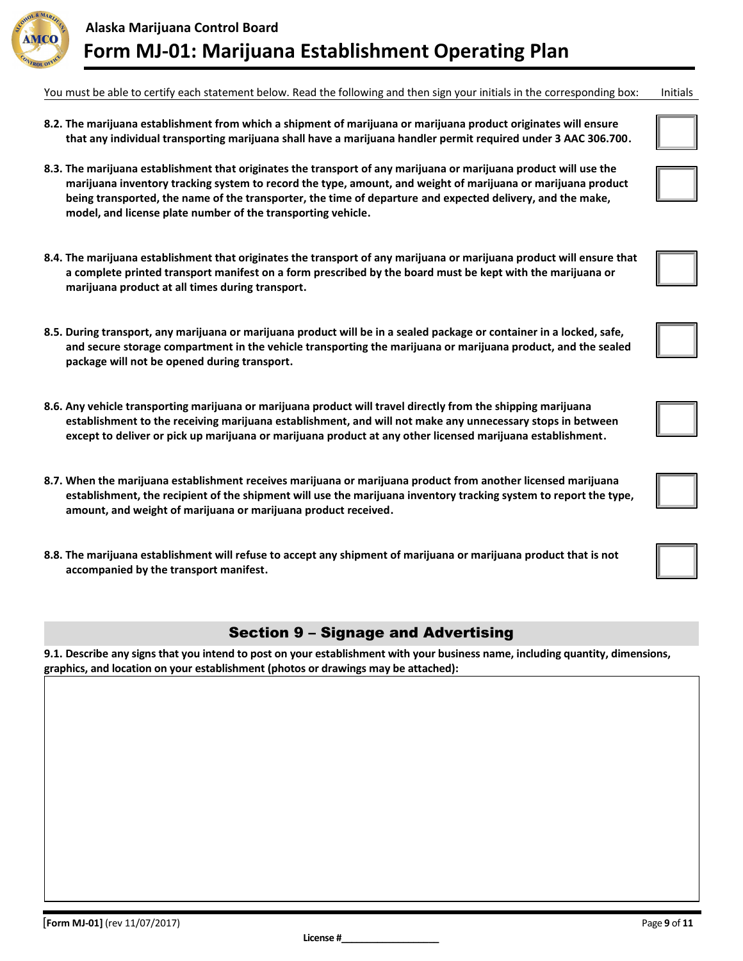

You must be able to certify each statement below. Read the following and then sign your initials in the corresponding box: Initials

- **8.2. The marijuana establishment from which a shipment of marijuana or marijuana product originates will ensure that any individual transporting marijuana shall have a marijuana handler permit required under 3 AAC 306.700.**
- **8.3. The marijuana establishment that originates the transport of any marijuana or marijuana product will use the marijuana inventory tracking system to record the type, amount, and weight of marijuana or marijuana product being transported, the name of the transporter, the time of departure and expected delivery, and the make, model, and license plate number of the transporting vehicle.**
- **8.4. The marijuana establishment that originates the transport of any marijuana or marijuana product will ensure that a complete printed transport manifest on a form prescribed by the board must be kept with the marijuana or marijuana product at all times during transport.**
- **8.5. During transport, any marijuana or marijuana product will be in a sealed package or container in a locked, safe, and secure storage compartment in the vehicle transporting the marijuana or marijuana product, and the sealed package will not be opened during transport.**
- **8.6. Any vehicle transporting marijuana or marijuana product will travel directly from the shipping marijuana establishment to the receiving marijuana establishment, and will not make any unnecessary stops in between except to deliver or pick up marijuana or marijuana product at any other licensed marijuana establishment.**
- **8.7. When the marijuana establishment receives marijuana or marijuana product from another licensed marijuana establishment, the recipient of the shipment will use the marijuana inventory tracking system to report the type, amount, and weight of marijuana or marijuana product received.**
- **8.8. The marijuana establishment will refuse to accept any shipment of marijuana or marijuana product that is not accompanied by the transport manifest.**

### Section 9 – Signage and Advertising

**9.1. Describe any signs that you intend to post on your establishment with your business name, including quantity, dimensions, graphics, and location on your establishment (photos or drawings may be attached):**





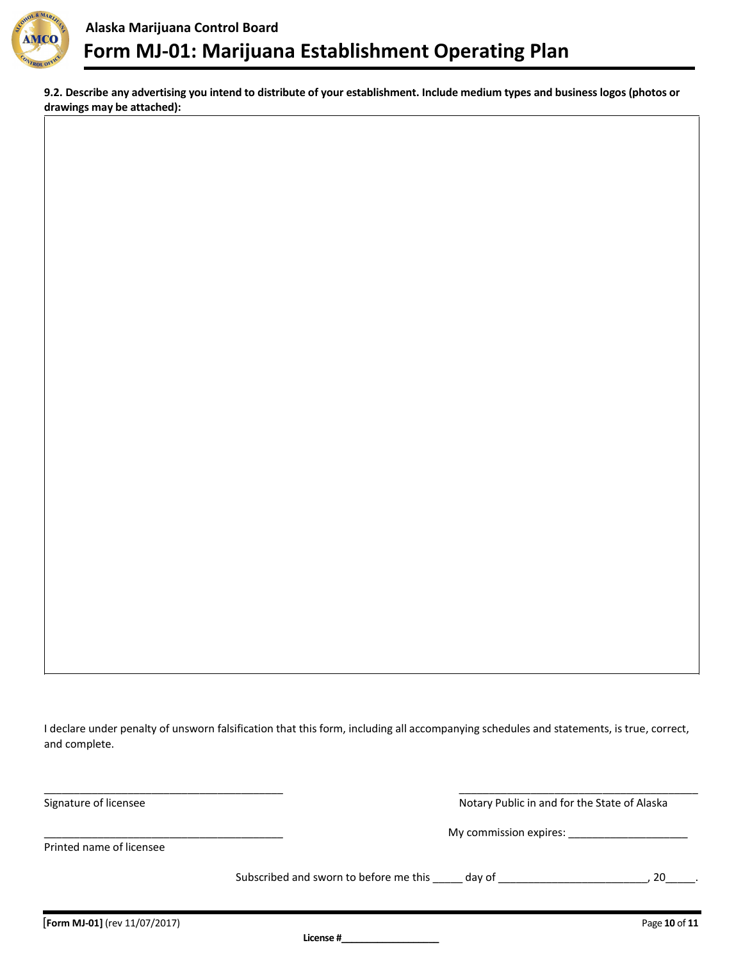

**9.2. Describe any advertising you intend to distribute of your establishment. Include medium types and business logos (photos or drawings may be attached):**

I declare under penalty of unsworn falsification that this form, including all accompanying schedules and statements, is true, correct, and complete.

| Signature of licensee         | Notary Public in and for the State of Alaska  |               |
|-------------------------------|-----------------------------------------------|---------------|
|                               | My commission expires:                        |               |
| Printed name of licensee      |                                               |               |
|                               | Subscribed and sworn to before me this day of | 20            |
| [Form MJ-01] (rev 11/07/2017) |                                               | Page 10 of 11 |